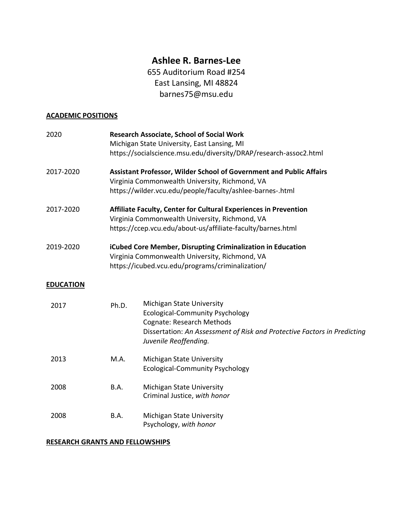# **Ashlee R. Barnes-Lee**

655 Auditorium Road #254 East Lansing, MI 48824 barnes75@msu.edu

## **ACADEMIC POSITIONS**

| 2020             |       | <b>Research Associate, School of Social Work</b><br>Michigan State University, East Lansing, MI<br>https://socialscience.msu.edu/diversity/DRAP/research-assoc2.html                                  |
|------------------|-------|-------------------------------------------------------------------------------------------------------------------------------------------------------------------------------------------------------|
| 2017-2020        |       | <b>Assistant Professor, Wilder School of Government and Public Affairs</b><br>Virginia Commonwealth University, Richmond, VA<br>https://wilder.vcu.edu/people/faculty/ashlee-barnes-.html             |
| 2017-2020        |       | Affiliate Faculty, Center for Cultural Experiences in Prevention<br>Virginia Commonwealth University, Richmond, VA<br>https://ccep.vcu.edu/about-us/affiliate-faculty/barnes.html                     |
| 2019-2020        |       | iCubed Core Member, Disrupting Criminalization in Education<br>Virginia Commonwealth University, Richmond, VA<br>https://icubed.vcu.edu/programs/criminalization/                                     |
| <b>EDUCATION</b> |       |                                                                                                                                                                                                       |
| 2017             | Ph.D. | Michigan State University<br><b>Ecological-Community Psychology</b><br>Cognate: Research Methods<br>Dissertation: An Assessment of Risk and Protective Factors in Predicting<br>Juvenile Reoffending. |
| 2013             | M.A.  | Michigan State University<br><b>Ecological-Community Psychology</b>                                                                                                                                   |
| 2008             | B.A.  | Michigan State University<br>Criminal Justice, with honor                                                                                                                                             |
| 2008             | B.A.  | Michigan State University<br>Psychology, with honor                                                                                                                                                   |

## **RESEARCH GRANTS AND FELLOWSHIPS**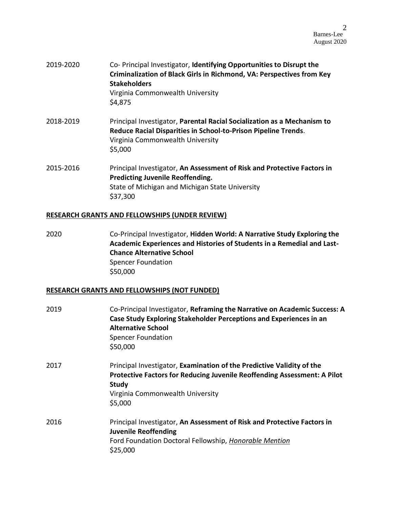- 2019-2020 Co- Principal Investigator, **Identifying Opportunities to Disrupt the Criminalization of Black Girls in Richmond, VA: Perspectives from Key Stakeholders** Virginia Commonwealth University \$4,875
- 2018-2019 Principal Investigator, **Parental Racial Socialization as a Mechanism to Reduce Racial Disparities in School-to-Prison Pipeline Trends**. Virginia Commonwealth University \$5,000
- 2015-2016 Principal Investigator, **An Assessment of Risk and Protective Factors in Predicting Juvenile Reoffending.** State of Michigan and Michigan State University \$37,300

#### **RESEARCH GRANTS AND FELLOWSHIPS (UNDER REVIEW)**

2020 Co-Principal Investigator, **Hidden World: A Narrative Study Exploring the Academic Experiences and Histories of Students in a Remedial and Last-Chance Alternative School** Spencer Foundation \$50,000

#### **RESEARCH GRANTS AND FELLOWSHIPS (NOT FUNDED)**

| 2019 | Co-Principal Investigator, Reframing the Narrative on Academic Success: A<br>Case Study Exploring Stakeholder Perceptions and Experiences in an<br><b>Alternative School</b><br><b>Spencer Foundation</b><br>\$50,000 |
|------|-----------------------------------------------------------------------------------------------------------------------------------------------------------------------------------------------------------------------|
| 2017 | Principal Investigator, Examination of the Predictive Validity of the<br>Protective Factors for Reducing Juvenile Reoffending Assessment: A Pilot<br>Study<br>Virginia Commonwealth University<br>\$5,000             |
| 2016 | Principal Investigator, An Assessment of Risk and Protective Factors in<br><b>Juvenile Reoffending</b><br>Ford Foundation Doctoral Fellowship, Honorable Mention<br>\$25,000                                          |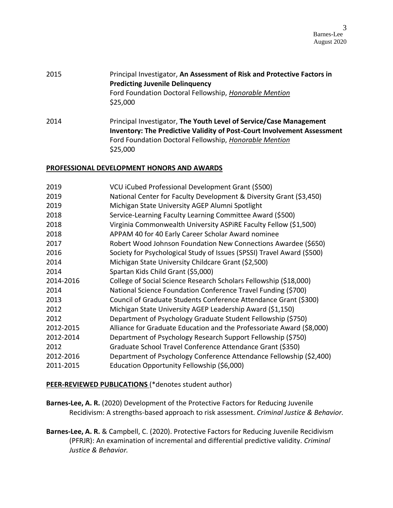| 2015 | Principal Investigator, An Assessment of Risk and Protective Factors in |
|------|-------------------------------------------------------------------------|
|      | <b>Predicting Juvenile Delinquency</b>                                  |
|      | Ford Foundation Doctoral Fellowship, Honorable Mention                  |
|      | \$25,000                                                                |

2014 Principal Investigator, **The Youth Level of Service/Case Management Inventory: The Predictive Validity of Post-Court Involvement Assessment** Ford Foundation Doctoral Fellowship, *Honorable Mention* \$25,000

#### **PROFESSIONAL DEVELOPMENT HONORS AND AWARDS**

| 2019      | VCU iCubed Professional Development Grant (\$500)                      |
|-----------|------------------------------------------------------------------------|
| 2019      | National Center for Faculty Development & Diversity Grant (\$3,450)    |
| 2019      | Michigan State University AGEP Alumni Spotlight                        |
| 2018      | Service-Learning Faculty Learning Committee Award (\$500)              |
| 2018      | Virginia Commonwealth University ASPIRE Faculty Fellow (\$1,500)       |
| 2018      | APPAM 40 for 40 Early Career Scholar Award nominee                     |
| 2017      | Robert Wood Johnson Foundation New Connections Awardee (\$650)         |
| 2016      | Society for Psychological Study of Issues (SPSSI) Travel Award (\$500) |
| 2014      | Michigan State University Childcare Grant (\$2,500)                    |
| 2014      | Spartan Kids Child Grant (\$5,000)                                     |
| 2014-2016 | College of Social Science Research Scholars Fellowship (\$18,000)      |
| 2014      | National Science Foundation Conference Travel Funding (\$700)          |
| 2013      | Council of Graduate Students Conference Attendance Grant (\$300)       |
| 2012      | Michigan State University AGEP Leadership Award (\$1,150)              |
| 2012      | Department of Psychology Graduate Student Fellowship (\$750)           |
| 2012-2015 | Alliance for Graduate Education and the Professoriate Award (\$8,000)  |
| 2012-2014 | Department of Psychology Research Support Fellowship (\$750)           |
| 2012      | Graduate School Travel Conference Attendance Grant (\$350)             |
| 2012-2016 | Department of Psychology Conference Attendance Fellowship (\$2,400)    |
| 2011-2015 | Education Opportunity Fellowship (\$6,000)                             |
|           |                                                                        |

**PEER-REVIEWED PUBLICATIONS** (\*denotes student author)

**Barnes-Lee, A. R.** (2020) Development of the Protective Factors for Reducing Juvenile Recidivism: A strengths-based approach to risk assessment. *Criminal Justice & Behavior.*

**Barnes-Lee, A. R.** & Campbell, C. (2020). Protective Factors for Reducing Juvenile Recidivism (PFRJR): An examination of incremental and differential predictive validity. *Criminal Justice & Behavior.*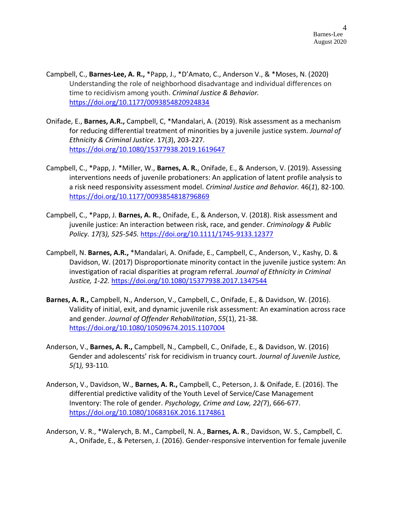- Campbell, C., **Barnes-Lee, A. R.,** \*Papp, J., \*D'Amato, C., Anderson V., & \*Moses, N. (2020) Understanding the role of neighborhood disadvantage and individual differences on time to recidivism among youth. *Criminal Justice & Behavior.* [https://doi.org/10.1177/0093854820924834](https://doi.org/10.1177%2F0093854820924834)
- Onifade, E., **Barnes, A.R.,** Campbell, C, \*Mandalari, A. (2019). Risk assessment as a mechanism for reducing differential treatment of minorities by a juvenile justice system. *Journal of Ethnicity & Criminal Justice*. 17(*3*), 203-227. <https://doi.org/10.1080/15377938.2019.1619647>
- Campbell, C., \*Papp, J. \*Miller, W., **Barnes, A. R.**, Onifade, E., & Anderson, V. (2019). Assessing interventions needs of juvenile probationers: An application of latent profile analysis to a risk need responsivity assessment model. *Criminal Justice and Behavior.* 46(*1*), 82-100. [https://doi.org/10.1177/0093854818796869](https://doi.org/10.1177%2F0093854818796869)
- Campbell, C., \*Papp, J. **Barnes, A. R.**, Onifade, E., & Anderson, V. (2018). Risk assessment and juvenile justice: An interaction between risk, race, and gender. *Criminology & Public Policy. 17(*3*), 525-545.* <https://doi.org/10.1111/1745-9133.12377>
- Campbell, N. **Barnes, A.R.,** \*Mandalari, A. Onifade, E., Campbell, C., Anderson, V., Kashy, D. & Davidson, W. (2017) Disproportionate minority contact in the juvenile justice system: An investigation of racial disparities at program referral. *Journal of Ethnicity in Criminal Justice, 1-22.* <https://doi.org/10.1080/15377938.2017.1347544>
- **Barnes, A. R.,** Campbell, N., Anderson, V., Campbell, C., Onifade, E., & Davidson, W. (2016). Validity of initial, exit, and dynamic juvenile risk assessment: An examination across race and gender. *Journal of Offender Rehabilitation*, *55*(1), 21-38. <https://doi.org/10.1080/10509674.2015.1107004>
- Anderson, V., **Barnes, A. R.,** Campbell, N., Campbell, C., Onifade, E., & Davidson, W. (2016) Gender and adolescents' risk for recidivism in truancy court. *Journal of Juvenile Justice, 5(*1*),* 93-110*.*
- Anderson, V., Davidson, W., **Barnes, A. R.,** Campbell, C., Peterson, J. & Onifade, E. (2016). The differential predictive validity of the Youth Level of Service/Case Management Inventory: The role of gender. *Psychology, Crime and Law, 22(*7), 666-677. <https://doi.org/10.1080/1068316X.2016.1174861>
- Anderson, V. R., \*Walerych, B. M., Campbell, N. A., **Barnes, A. R**., Davidson, W. S., Campbell, C. A., Onifade, E., & Petersen, J. (2016). Gender-responsive intervention for female juvenile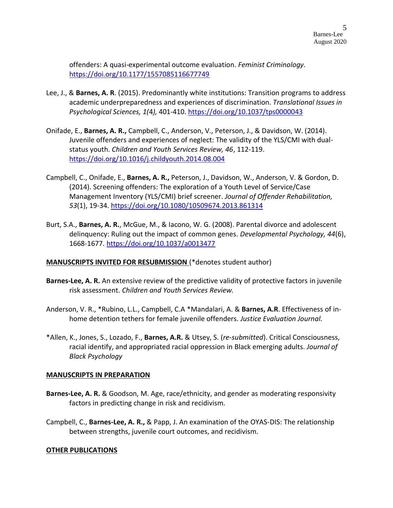offenders: A quasi-experimental outcome evaluation. *Feminist Criminology.* [https://doi.org/10.1177/1557085116677749](https://doi.org/10.1177%2F1557085116677749)

- Lee, J., & **Barnes, A. R**. (2015). Predominantly white institutions: Transition programs to address academic underpreparedness and experiences of discrimination. *Translational Issues in Psychological Sciences, 1(*4*),* 401-410. [https://doi.org/10.1037/tps0000043](https://psycnet.apa.org/doi/10.1037/tps0000043)
- Onifade, E., **Barnes, A. R.,** Campbell, C., Anderson, V., Peterson, J., & Davidson, W. (2014). Juvenile offenders and experiences of neglect: The validity of the YLS/CMI with dualstatus youth. *Children and Youth Services Review, 46*, 112-119. <https://doi.org/10.1016/j.childyouth.2014.08.004>
- Campbell, C., Onifade, E., **Barnes, A. R.,** Peterson, J., Davidson, W., Anderson, V. & Gordon, D. (2014). Screening offenders: The exploration of a Youth Level of Service/Case Management Inventory (YLS/CMI) brief screener. *Journal of Offender Rehabilitation, 53*(1), 19-34. <https://doi.org/10.1080/10509674.2013.861314>
- Burt, S.A., **Barnes, A. R.**, McGue, M., & Iacono, W. G. (2008). Parental divorce and adolescent delinquency: Ruling out the impact of common genes. *Developmental Psychology, 44*(6), 1668-1677. [https://doi.org/10.1037/a0013477](https://psycnet.apa.org/doi/10.1037/a0013477)

#### **MANUSCRIPTS INVITED FOR RESUBMISSION** (\*denotes student author)

- **Barnes-Lee, A. R.** An extensive review of the predictive validity of protective factors in juvenile risk assessment. *Children and Youth Services Review.*
- Anderson, V. R., \*Rubino, L.L., Campbell, C.A \*Mandalari, A. & **Barnes, A.R**. Effectiveness of inhome detention tethers for female juvenile offenders. *Justice Evaluation Journal.*
- \*Allen, K., Jones, S., Lozado, F., **Barnes, A.R.** & Utsey, S. (*re-submitted*). Critical Consciousness, racial identify, and appropriated racial oppression in Black emerging adults. *Journal of Black Psychology*

#### **MANUSCRIPTS IN PREPARATION**

- **Barnes-Lee, A. R.** & Goodson, M. Age, race/ethnicity, and gender as moderating responsivity factors in predicting change in risk and recidivism.
- Campbell, C., **Barnes-Lee, A. R.,** & Papp, J. An examination of the OYAS-DIS: The relationship between strengths, juvenile court outcomes, and recidivism.

#### **OTHER PUBLICATIONS**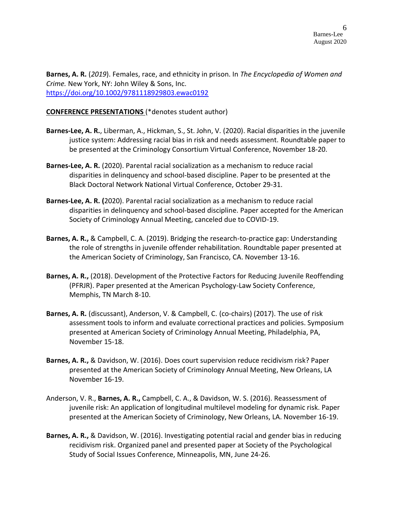**Barnes, A. R.** (*2019*). Females, race, and ethnicity in prison. In *The Encyclopedia of Women and Crime.* New York, NY: John Wiley & Sons, Inc. <https://doi.org/10.1002/9781118929803.ewac0192>

#### **CONFERENCE PRESENTATIONS** (\*denotes student author)

- **Barnes-Lee, A. R.**, Liberman, A., Hickman, S., St. John, V. (2020). Racial disparities in the juvenile justice system: Addressing racial bias in risk and needs assessment. Roundtable paper to be presented at the Criminology Consortium Virtual Conference, November 18-20.
- **Barnes-Lee, A. R.** (2020). Parental racial socialization as a mechanism to reduce racial disparities in delinquency and school-based discipline. Paper to be presented at the Black Doctoral Network National Virtual Conference, October 29-31.
- **Barnes-Lee, A. R. (**2020). Parental racial socialization as a mechanism to reduce racial disparities in delinquency and school-based discipline. Paper accepted for the American Society of Criminology Annual Meeting, canceled due to COVID-19.
- **Barnes, A. R.,** & Campbell, C. A. (2019). Bridging the research-to-practice gap: Understanding the role of strengths in juvenile offender rehabilitation. Roundtable paper presented at the American Society of Criminology, San Francisco, CA. November 13-16.
- **Barnes, A. R.,** (2018). Development of the Protective Factors for Reducing Juvenile Reoffending (PFRJR). Paper presented at the American Psychology-Law Society Conference, Memphis, TN March 8-10.
- **Barnes, A. R.** (discussant), Anderson, V. & Campbell, C. (co-chairs) (2017). The use of risk assessment tools to inform and evaluate correctional practices and policies. Symposium presented at American Society of Criminology Annual Meeting, Philadelphia, PA, November 15-18.
- **Barnes, A. R.,** & Davidson, W. (2016). Does court supervision reduce recidivism risk? Paper presented at the American Society of Criminology Annual Meeting, New Orleans, LA November 16-19.
- Anderson, V. R., **Barnes, A. R.,** Campbell, C. A., & Davidson, W. S. (2016). Reassessment of juvenile risk: An application of longitudinal multilevel modeling for dynamic risk. Paper presented at the American Society of Criminology, New Orleans, LA. November 16-19.
- **Barnes, A. R.,** & Davidson, W. (2016). Investigating potential racial and gender bias in reducing recidivism risk. Organized panel and presented paper at Society of the Psychological Study of Social Issues Conference, Minneapolis, MN, June 24-26.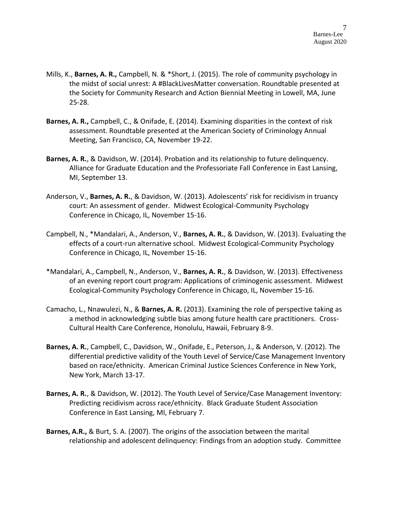- Mills, K., **Barnes, A. R.,** Campbell, N. & \*Short, J. (2015). The role of community psychology in the midst of social unrest: A #BlackLivesMatter conversation. Roundtable presented at the Society for Community Research and Action Biennial Meeting in Lowell, MA, June 25-28.
- **Barnes, A. R.,** Campbell, C., & Onifade, E. (2014). Examining disparities in the context of risk assessment. Roundtable presented at the American Society of Criminology Annual Meeting, San Francisco, CA, November 19-22.
- **Barnes, A. R.**, & Davidson, W. (2014). Probation and its relationship to future delinquency. Alliance for Graduate Education and the Professoriate Fall Conference in East Lansing, MI, September 13.
- Anderson, V., **Barnes, A. R.**, & Davidson, W. (2013). Adolescents' risk for recidivism in truancy court: An assessment of gender. Midwest Ecological-Community Psychology Conference in Chicago, IL, November 15-16.
- Campbell, N., \*Mandalari, A., Anderson, V., **Barnes, A. R.**, & Davidson, W. (2013). Evaluating the effects of a court-run alternative school. Midwest Ecological-Community Psychology Conference in Chicago, IL, November 15-16.
- \*Mandalari, A., Campbell, N., Anderson, V., **Barnes, A. R.**, & Davidson, W. (2013). Effectiveness of an evening report court program: Applications of criminogenic assessment. Midwest Ecological-Community Psychology Conference in Chicago, IL, November 15-16.
- Camacho, L., Nnawulezi, N., & **Barnes, A. R.** (2013). Examining the role of perspective taking as a method in acknowledging subtle bias among future health care practitioners. Cross-Cultural Health Care Conference, Honolulu, Hawaii, February 8-9.
- **Barnes, A. R.**, Campbell, C., Davidson, W., Onifade, E., Peterson, J., & Anderson, V. (2012). The differential predictive validity of the Youth Level of Service/Case Management Inventory based on race/ethnicity. American Criminal Justice Sciences Conference in New York, New York, March 13-17.
- **Barnes, A. R.**, & Davidson, W. (2012). The Youth Level of Service/Case Management Inventory: Predicting recidivism across race/ethnicity. Black Graduate Student Association Conference in East Lansing, MI, February 7.
- **Barnes, A.R.,** & Burt, S. A. (2007). The origins of the association between the marital relationship and adolescent delinquency: Findings from an adoption study. Committee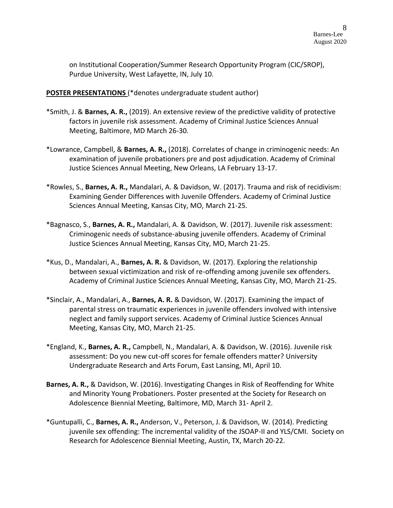on Institutional Cooperation/Summer Research Opportunity Program (CIC/SROP), Purdue University, West Lafayette, IN, July 10.

**POSTER PRESENTATIONS** (\*denotes undergraduate student author)

- \*Smith, J. & **Barnes, A. R.,** (2019). An extensive review of the predictive validity of protective factors in juvenile risk assessment. Academy of Criminal Justice Sciences Annual Meeting, Baltimore, MD March 26-30.
- \*Lowrance, Campbell, & **Barnes, A. R.,** (2018). Correlates of change in criminogenic needs: An examination of juvenile probationers pre and post adjudication. Academy of Criminal Justice Sciences Annual Meeting, New Orleans, LA February 13-17.
- \*Rowles, S., **Barnes, A. R.,** Mandalari, A. & Davidson, W. (2017). Trauma and risk of recidivism: Examining Gender Differences with Juvenile Offenders. Academy of Criminal Justice Sciences Annual Meeting, Kansas City, MO, March 21-25.
- \*Bagnasco, S., **Barnes, A. R.,** Mandalari, A. & Davidson, W. (2017). Juvenile risk assessment: Criminogenic needs of substance-abusing juvenile offenders. Academy of Criminal Justice Sciences Annual Meeting, Kansas City, MO, March 21-25.
- \*Kus, D., Mandalari, A., **Barnes, A. R.** & Davidson, W. (2017). Exploring the relationship between sexual victimization and risk of re-offending among juvenile sex offenders. Academy of Criminal Justice Sciences Annual Meeting, Kansas City, MO, March 21-25.
- \*Sinclair, A., Mandalari, A., **Barnes, A. R.** & Davidson, W. (2017). Examining the impact of parental stress on traumatic experiences in juvenile offenders involved with intensive neglect and family support services. Academy of Criminal Justice Sciences Annual Meeting, Kansas City, MO, March 21-25.
- \*England, K., **Barnes, A. R.,** Campbell, N., Mandalari, A. & Davidson, W. (2016). Juvenile risk assessment: Do you new cut-off scores for female offenders matter? University Undergraduate Research and Arts Forum, East Lansing, MI, April 10.
- **Barnes, A. R.,** & Davidson, W. (2016). Investigating Changes in Risk of Reoffending for White and Minority Young Probationers. Poster presented at the Society for Research on Adolescence Biennial Meeting, Baltimore, MD, March 31- April 2.
- \*Guntupalli, C., **Barnes, A. R.,** Anderson, V., Peterson, J. & Davidson, W. (2014). Predicting juvenile sex offending: The incremental validity of the JSOAP-II and YLS/CMI. Society on Research for Adolescence Biennial Meeting, Austin, TX, March 20-22.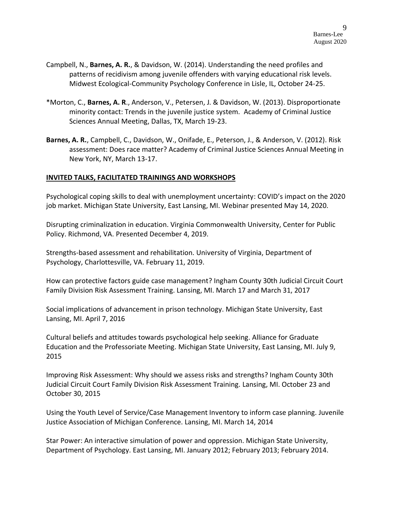- Campbell, N., **Barnes, A. R.**, & Davidson, W. (2014). Understanding the need profiles and patterns of recidivism among juvenile offenders with varying educational risk levels. Midwest Ecological-Community Psychology Conference in Lisle, IL, October 24-25.
- \*Morton, C., **Barnes, A. R**., Anderson, V., Petersen, J. & Davidson, W. (2013). Disproportionate minority contact: Trends in the juvenile justice system. Academy of Criminal Justice Sciences Annual Meeting, Dallas, TX, March 19-23.
- **Barnes, A. R.**, Campbell, C., Davidson, W., Onifade, E., Peterson, J., & Anderson, V. (2012). Risk assessment: Does race matter? Academy of Criminal Justice Sciences Annual Meeting in New York, NY, March 13-17.

#### **INVITED TALKS, FACILITATED TRAININGS AND WORKSHOPS**

Psychological coping skills to deal with unemployment uncertainty: COVID's impact on the 2020 job market. Michigan State University, East Lansing, MI. Webinar presented May 14, 2020.

Disrupting criminalization in education. Virginia Commonwealth University, Center for Public Policy. Richmond, VA. Presented December 4, 2019.

Strengths-based assessment and rehabilitation. University of Virginia, Department of Psychology, Charlottesville, VA. February 11, 2019.

How can protective factors guide case management? Ingham County 30th Judicial Circuit Court Family Division Risk Assessment Training. Lansing, MI. March 17 and March 31, 2017

Social implications of advancement in prison technology. Michigan State University, East Lansing, MI. April 7, 2016

Cultural beliefs and attitudes towards psychological help seeking. Alliance for Graduate Education and the Professoriate Meeting. Michigan State University, East Lansing, MI. July 9, 2015

Improving Risk Assessment: Why should we assess risks and strengths? Ingham County 30th Judicial Circuit Court Family Division Risk Assessment Training. Lansing, MI. October 23 and October 30, 2015

Using the Youth Level of Service/Case Management Inventory to inform case planning. Juvenile Justice Association of Michigan Conference. Lansing, MI. March 14, 2014

Star Power: An interactive simulation of power and oppression. Michigan State University, Department of Psychology. East Lansing, MI. January 2012; February 2013; February 2014.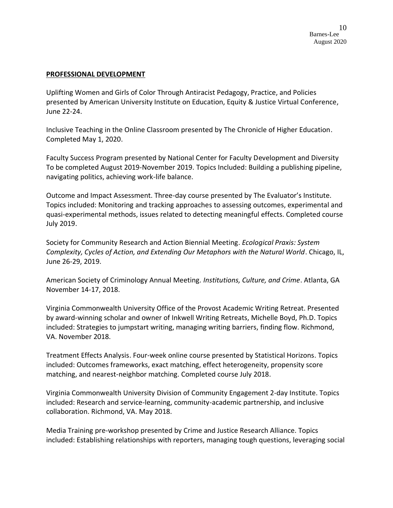#### **PROFESSIONAL DEVELOPMENT**

Uplifting Women and Girls of Color Through Antiracist Pedagogy, Practice, and Policies presented by American University Institute on Education, Equity & Justice Virtual Conference, June 22-24.

Inclusive Teaching in the Online Classroom presented by The Chronicle of Higher Education. Completed May 1, 2020.

Faculty Success Program presented by National Center for Faculty Development and Diversity To be completed August 2019-November 2019. Topics Included: Building a publishing pipeline, navigating politics, achieving work-life balance.

Outcome and Impact Assessment. Three-day course presented by The Evaluator's Institute. Topics included: Monitoring and tracking approaches to assessing outcomes, experimental and quasi-experimental methods, issues related to detecting meaningful effects. Completed course July 2019.

Society for Community Research and Action Biennial Meeting. *Ecological Praxis: System Complexity, Cycles of Action, and Extending Our Metaphors with the Natural World*. Chicago, IL, June 26-29, 2019.

American Society of Criminology Annual Meeting. *Institutions, Culture, and Crime*. Atlanta, GA November 14-17, 2018.

Virginia Commonwealth University Office of the Provost Academic Writing Retreat. Presented by award-winning scholar and owner of Inkwell Writing Retreats, Michelle Boyd, Ph.D. Topics included: Strategies to jumpstart writing, managing writing barriers, finding flow. Richmond, VA. November 2018.

Treatment Effects Analysis. Four-week online course presented by Statistical Horizons. Topics included: Outcomes frameworks, exact matching, effect heterogeneity, propensity score matching, and nearest-neighbor matching. Completed course July 2018.

Virginia Commonwealth University Division of Community Engagement 2-day Institute. Topics included: Research and service-learning, community-academic partnership, and inclusive collaboration. Richmond, VA. May 2018.

Media Training pre-workshop presented by Crime and Justice Research Alliance. Topics included: Establishing relationships with reporters, managing tough questions, leveraging social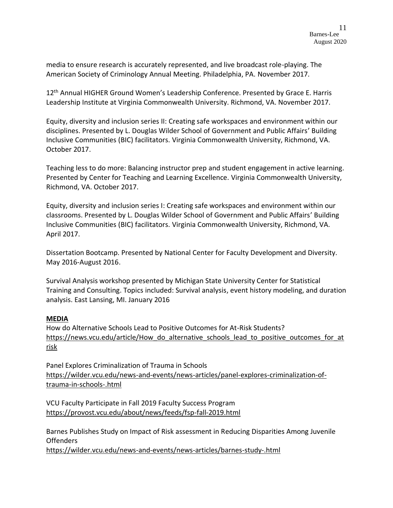media to ensure research is accurately represented, and live broadcast role-playing. The American Society of Criminology Annual Meeting. Philadelphia, PA. November 2017.

12<sup>th</sup> Annual HIGHER Ground Women's Leadership Conference. Presented by Grace E. Harris Leadership Institute at Virginia Commonwealth University. Richmond, VA. November 2017.

Equity, diversity and inclusion series II: Creating safe workspaces and environment within our disciplines. Presented by L. Douglas Wilder School of Government and Public Affairs' Building Inclusive Communities (BIC) facilitators. Virginia Commonwealth University, Richmond, VA. October 2017.

Teaching less to do more: Balancing instructor prep and student engagement in active learning. Presented by Center for Teaching and Learning Excellence. Virginia Commonwealth University, Richmond, VA. October 2017.

Equity, diversity and inclusion series I: Creating safe workspaces and environment within our classrooms. Presented by L. Douglas Wilder School of Government and Public Affairs' Building Inclusive Communities (BIC) facilitators. Virginia Commonwealth University, Richmond, VA. April 2017.

Dissertation Bootcamp. Presented by National Center for Faculty Development and Diversity. May 2016-August 2016.

Survival Analysis workshop presented by Michigan State University Center for Statistical Training and Consulting. Topics included: Survival analysis, event history modeling, and duration analysis. East Lansing, MI. January 2016

## **MEDIA**

How do Alternative Schools Lead to Positive Outcomes for At-Risk Students? https://news.vcu.edu/article/How\_do\_alternative\_schools\_lead\_to\_positive\_outcomes\_for\_at risk

Panel Explores Criminalization of Trauma in Schools https://wilder.vcu.edu/news-and-events/news-articles/panel-explores-criminalization-oftrauma-in-schools-.html

VCU Faculty Participate in Fall 2019 Faculty Success Program <https://provost.vcu.edu/about/news/feeds/fsp-fall-2019.html>

Barnes Publishes Study on Impact of Risk assessment in Reducing Disparities Among Juvenile **Offenders** 

https://wilder.vcu.edu/news-and-events/news-articles/barnes-study-.html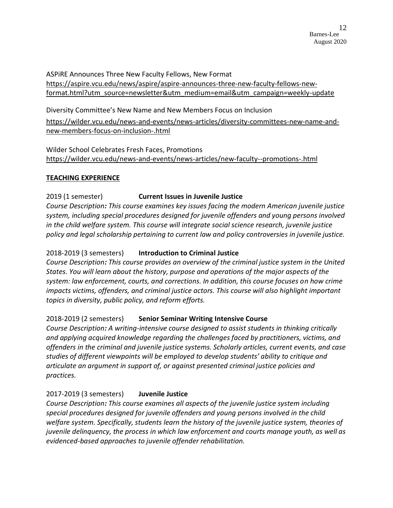ASPiRE Announces Three New Faculty Fellows, New Format [https://aspire.vcu.edu/news/aspire/aspire-announces-three-new-faculty-fellows-new](https://aspire.vcu.edu/news/aspire/aspire-announces-three-new-faculty-fellows-new-format.html?utm_source=newsletter&utm_medium=email&utm_campaign=weekly-update)[format.html?utm\\_source=newsletter&utm\\_medium=email&utm\\_campaign=weekly-update](https://aspire.vcu.edu/news/aspire/aspire-announces-three-new-faculty-fellows-new-format.html?utm_source=newsletter&utm_medium=email&utm_campaign=weekly-update)

Diversity Committee's New Name and New Members Focus on Inclusion

[https://wilder.vcu.edu/news-and-events/news-articles/diversity-committees-new-name-and](https://wilder.vcu.edu/news-and-events/news-articles/diversity-committees-new-name-and-new-members-focus-on-inclusion-.html)[new-members-focus-on-inclusion-.html](https://wilder.vcu.edu/news-and-events/news-articles/diversity-committees-new-name-and-new-members-focus-on-inclusion-.html)

Wilder School Celebrates Fresh Faces, Promotions <https://wilder.vcu.edu/news-and-events/news-articles/new-faculty--promotions-.html>

#### **TEACHING EXPERIENCE**

## 2019 (1 semester) **Current Issues in Juvenile Justice**

*Course Description: This course examines key issues facing the modern American juvenile justice system, including special procedures designed for juvenile offenders and young persons involved in the child welfare system. This course will integrate social science research, juvenile justice policy and legal scholarship pertaining to current law and policy controversies in juvenile justice.*

## 2018-2019 (3 semesters) **Introduction to Criminal Justice**

*Course Description: This course provides an overview of the criminal justice system in the United States. You will learn about the history, purpose and operations of the major aspects of the system: law enforcement, courts, and corrections. In addition, this course focuses on how crime impacts victims, offenders, and criminal justice actors. This course will also highlight important topics in diversity, public policy, and reform efforts.*

## 2018-2019 (2 semesters) **Senior Seminar Writing Intensive Course**

*Course Description: A writing-intensive course designed to assist students in thinking critically and applying acquired knowledge regarding the challenges faced by practitioners, victims, and offenders in the criminal and juvenile justice systems. Scholarly articles, current events, and case studies of different viewpoints will be employed to develop students' ability to critique and articulate an argument in support of, or against presented criminal justice policies and practices.*

# 2017-2019 (3 semesters) **Juvenile Justice**

*Course Description: This course examines all aspects of the juvenile justice system including special procedures designed for juvenile offenders and young persons involved in the child welfare system. Specifically, students learn the history of the juvenile justice system, theories of juvenile delinquency, the process in which law enforcement and courts manage youth, as well as evidenced-based approaches to juvenile offender rehabilitation.*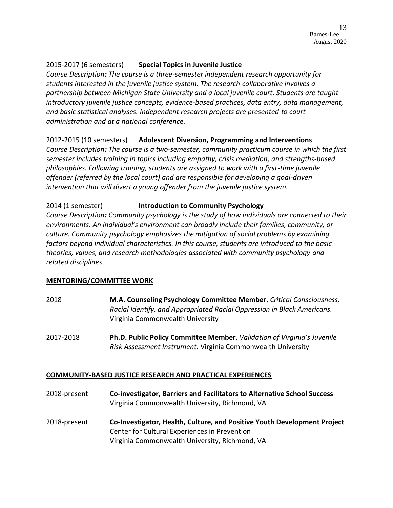## 2015-2017 (6 semesters) **Special Topics in Juvenile Justice**

*Course Description: The course is a three-semester independent research opportunity for students interested in the juvenile justice system. The research collaborative involves a partnership between Michigan State University and a local juvenile court. Students are taught introductory juvenile justice concepts, evidence-based practices, data entry, data management, and basic statistical analyses. Independent research projects are presented to court administration and at a national conference.*

#### 2012-2015 (10 semesters) **Adolescent Diversion, Programming and Interventions**

*Course Description: The course is a two-semester, community practicum course in which the first semester includes training in topics including empathy, crisis mediation, and strengths-based philosophies. Following training, students are assigned to work with a first-time juvenile offender (referred by the local court) and are responsible for developing a goal-driven intervention that will divert a young offender from the juvenile justice system.*

#### 2014 (1 semester) **Introduction to Community Psychology**

*Course Description: Community psychology is the study of how individuals are connected to their environments. An individual's environment can broadly include their families, community, or culture. Community psychology emphasizes the mitigation of social problems by examining factors beyond individual characteristics. In this course, students are introduced to the basic theories, values, and research methodologies associated with community psychology and related disciplines.* 

## **MENTORING/COMMITTEE WORK**

- 2018 **M.A. Counseling Psychology Committee Member**, *Critical Consciousness, Racial Identify, and Appropriated Racial Oppression in Black Americans.* Virginia Commonwealth University
- 2017-2018 **Ph.D. Public Policy Committee Member**, *Validation of Virginia's Juvenile Risk Assessment Instrument.* Virginia Commonwealth University

## **COMMUNITY-BASED JUSTICE RESEARCH AND PRACTICAL EXPERIENCES**

- 2018-present **Co-investigator, Barriers and Facilitators to Alternative School Success** Virginia Commonwealth University, Richmond, VA
- 2018-present **Co-Investigator, Health, Culture, and Positive Youth Development Project** Center for Cultural Experiences in Prevention Virginia Commonwealth University, Richmond, VA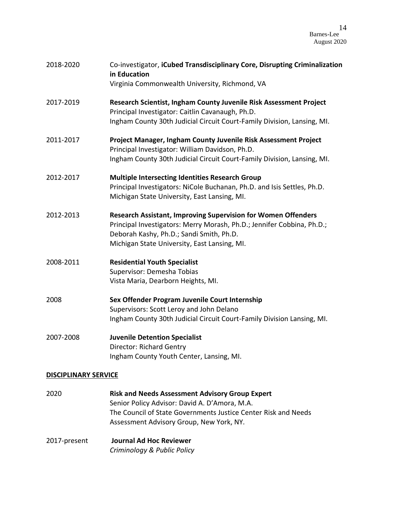| 2018-2020                   | Co-investigator, iCubed Transdisciplinary Core, Disrupting Criminalization<br>in Education                                                                                                                                                 |  |
|-----------------------------|--------------------------------------------------------------------------------------------------------------------------------------------------------------------------------------------------------------------------------------------|--|
|                             | Virginia Commonwealth University, Richmond, VA                                                                                                                                                                                             |  |
| 2017-2019                   | Research Scientist, Ingham County Juvenile Risk Assessment Project<br>Principal Investigator: Caitlin Cavanaugh, Ph.D.<br>Ingham County 30th Judicial Circuit Court-Family Division, Lansing, MI.                                          |  |
| 2011-2017                   | Project Manager, Ingham County Juvenile Risk Assessment Project<br>Principal Investigator: William Davidson, Ph.D.<br>Ingham County 30th Judicial Circuit Court-Family Division, Lansing, MI.                                              |  |
| 2012-2017                   | <b>Multiple Intersecting Identities Research Group</b><br>Principal Investigators: NiCole Buchanan, Ph.D. and Isis Settles, Ph.D.<br>Michigan State University, East Lansing, MI.                                                          |  |
| 2012-2013                   | <b>Research Assistant, Improving Supervision for Women Offenders</b><br>Principal Investigators: Merry Morash, Ph.D.; Jennifer Cobbina, Ph.D.;<br>Deborah Kashy, Ph.D.; Sandi Smith, Ph.D.<br>Michigan State University, East Lansing, MI. |  |
| 2008-2011                   | <b>Residential Youth Specialist</b><br>Supervisor: Demesha Tobias<br>Vista Maria, Dearborn Heights, MI.                                                                                                                                    |  |
| 2008                        | Sex Offender Program Juvenile Court Internship<br>Supervisors: Scott Leroy and John Delano<br>Ingham County 30th Judicial Circuit Court-Family Division Lansing, MI.                                                                       |  |
| 2007-2008                   | <b>Juvenile Detention Specialist</b><br><b>Director: Richard Gentry</b><br>Ingham County Youth Center, Lansing, MI.                                                                                                                        |  |
| <b>DISCIPLINARY SERVICE</b> |                                                                                                                                                                                                                                            |  |

- 2020 **Risk and Needs Assessment Advisory Group Expert** Senior Policy Advisor: David A. D'Amora, M.A. The Council of State Governments Justice Center Risk and Needs Assessment Advisory Group, New York, NY.
- 2017-present **Journal Ad Hoc Reviewer** *Criminology & Public Policy*